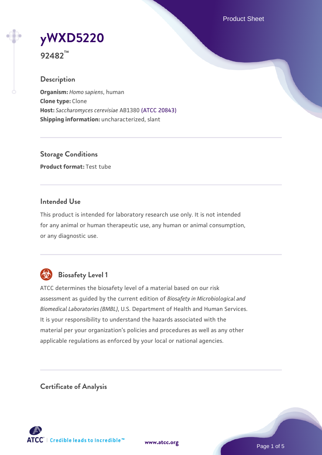Product Sheet

# **[yWXD5220](https://www.atcc.org/products/92482)**

**92482™**

# **Description**

**Organism:** *Homo sapiens*, human **Clone type:** Clone **Host:** *Saccharomyces cerevisiae* AB1380 [\(ATCC 20843\)](https://www.atcc.org/products/20843) **Shipping information:** uncharacterized, slant

**Storage Conditions Product format:** Test tube

# **Intended Use**

This product is intended for laboratory research use only. It is not intended for any animal or human therapeutic use, any human or animal consumption, or any diagnostic use.



# **Biosafety Level 1**

ATCC determines the biosafety level of a material based on our risk assessment as guided by the current edition of *Biosafety in Microbiological and Biomedical Laboratories (BMBL)*, U.S. Department of Health and Human Services. It is your responsibility to understand the hazards associated with the material per your organization's policies and procedures as well as any other applicable regulations as enforced by your local or national agencies.

**Certificate of Analysis**

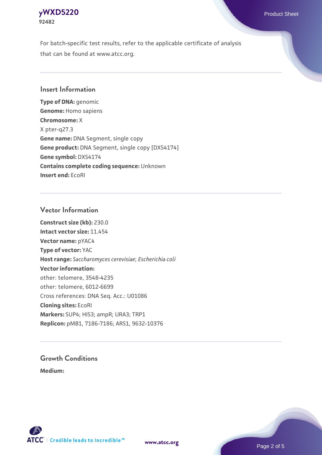# **[yWXD5220](https://www.atcc.org/products/92482)** Product Sheet **92482**

For batch-specific test results, refer to the applicable certificate of analysis that can be found at www.atcc.org.

## **Insert Information**

**Type of DNA:** genomic **Genome:** Homo sapiens **Chromosome:** X X pter-q27.3 **Gene name:** DNA Segment, single copy **Gene product:** DNA Segment, single copy [DXS4174] **Gene symbol:** DXS4174 **Contains complete coding sequence:** Unknown **Insert end:** EcoRI

## **Vector Information**

**Construct size (kb):** 230.0 **Intact vector size:** 11.454 **Vector name:** pYAC4 **Type of vector:** YAC **Host range:** *Saccharomyces cerevisiae*; *Escherichia coli* **Vector information:** other: telomere, 3548-4235 other: telomere, 6012-6699 Cross references: DNA Seq. Acc.: U01086 **Cloning sites:** EcoRI **Markers:** SUP4; HIS3; ampR; URA3; TRP1 **Replicon:** pMB1, 7186-7186; ARS1, 9632-10376

# **Growth Conditions**

**Medium:** 



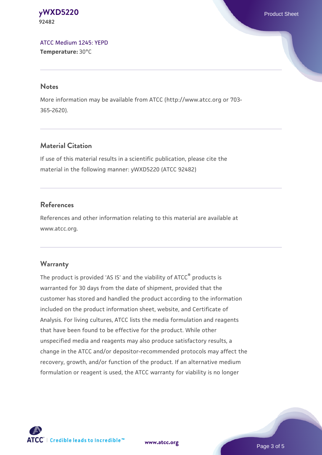#### **[yWXD5220](https://www.atcc.org/products/92482)** Product Sheet **92482**

[ATCC Medium 1245: YEPD](https://www.atcc.org/-/media/product-assets/documents/microbial-media-formulations/1/2/4/5/atcc-medium-1245.pdf?rev=705ca55d1b6f490a808a965d5c072196) **Temperature:** 30°C

#### **Notes**

More information may be available from ATCC (http://www.atcc.org or 703- 365-2620).

# **Material Citation**

If use of this material results in a scientific publication, please cite the material in the following manner: yWXD5220 (ATCC 92482)

# **References**

References and other information relating to this material are available at www.atcc.org.

# **Warranty**

The product is provided 'AS IS' and the viability of ATCC® products is warranted for 30 days from the date of shipment, provided that the customer has stored and handled the product according to the information included on the product information sheet, website, and Certificate of Analysis. For living cultures, ATCC lists the media formulation and reagents that have been found to be effective for the product. While other unspecified media and reagents may also produce satisfactory results, a change in the ATCC and/or depositor-recommended protocols may affect the recovery, growth, and/or function of the product. If an alternative medium formulation or reagent is used, the ATCC warranty for viability is no longer



**[www.atcc.org](http://www.atcc.org)**

Page 3 of 5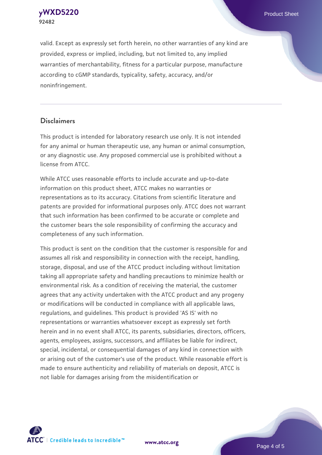**[yWXD5220](https://www.atcc.org/products/92482)** Product Sheet **92482**

valid. Except as expressly set forth herein, no other warranties of any kind are provided, express or implied, including, but not limited to, any implied warranties of merchantability, fitness for a particular purpose, manufacture according to cGMP standards, typicality, safety, accuracy, and/or noninfringement.

#### **Disclaimers**

This product is intended for laboratory research use only. It is not intended for any animal or human therapeutic use, any human or animal consumption, or any diagnostic use. Any proposed commercial use is prohibited without a license from ATCC.

While ATCC uses reasonable efforts to include accurate and up-to-date information on this product sheet, ATCC makes no warranties or representations as to its accuracy. Citations from scientific literature and patents are provided for informational purposes only. ATCC does not warrant that such information has been confirmed to be accurate or complete and the customer bears the sole responsibility of confirming the accuracy and completeness of any such information.

This product is sent on the condition that the customer is responsible for and assumes all risk and responsibility in connection with the receipt, handling, storage, disposal, and use of the ATCC product including without limitation taking all appropriate safety and handling precautions to minimize health or environmental risk. As a condition of receiving the material, the customer agrees that any activity undertaken with the ATCC product and any progeny or modifications will be conducted in compliance with all applicable laws, regulations, and guidelines. This product is provided 'AS IS' with no representations or warranties whatsoever except as expressly set forth herein and in no event shall ATCC, its parents, subsidiaries, directors, officers, agents, employees, assigns, successors, and affiliates be liable for indirect, special, incidental, or consequential damages of any kind in connection with or arising out of the customer's use of the product. While reasonable effort is made to ensure authenticity and reliability of materials on deposit, ATCC is not liable for damages arising from the misidentification or



**[www.atcc.org](http://www.atcc.org)**

Page 4 of 5